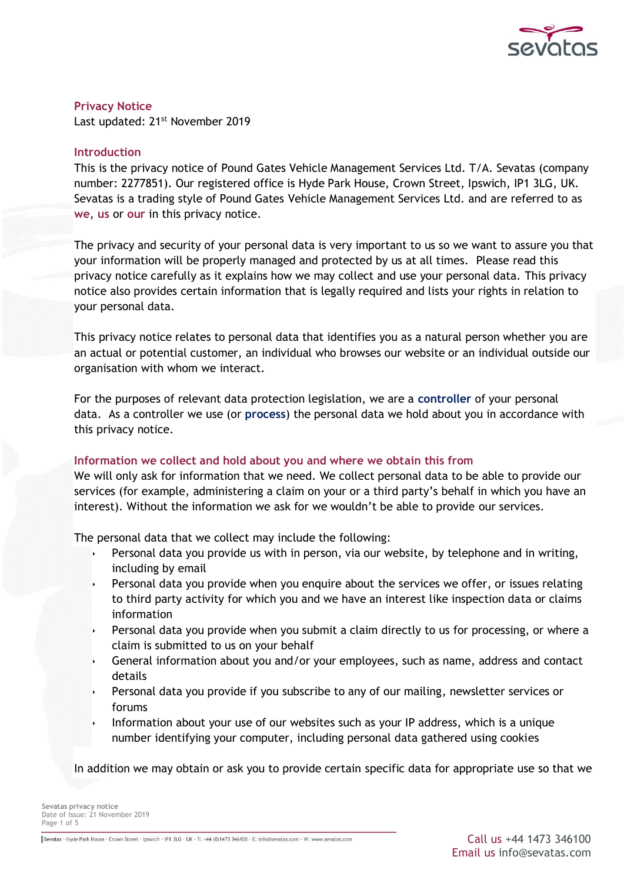

**Privacy Notice** Last updated: 21st November 2019

# **Introduction**

This is the privacy notice of Pound Gates Vehicle Management Services Ltd. T/A. Sevatas (company number: 2277851). Our registered office is Hyde Park House, Crown Street, Ipswich, IP1 3LG, UK. Sevatas is a trading style of Pound Gates Vehicle Management Services Ltd. and are referred to as **we**, **us** or **our** in this privacy notice.

The privacy and security of your personal data is very important to us so we want to assure you that your information will be properly managed and protected by us at all times. Please read this privacy notice carefully as it explains how we may collect and use your personal data. This privacy notice also provides certain information that is legally required and lists your rights in relation to your personal data.

This privacy notice relates to personal data that identifies you as a natural person whether you are an actual or potential customer, an individual who browses our website or an individual outside our organisation with whom we interact.

For the purposes of relevant data protection legislation, we are a **controller** of your personal data. As a controller we use (or **process**) the personal data we hold about you in accordance with this privacy notice.

# **Information we collect and hold about you and where we obtain this from**

We will only ask for information that we need. We collect personal data to be able to provide our services (for example, administering a claim on your or a third party's behalf in which you have an interest). Without the information we ask for we wouldn't be able to provide our services.

The personal data that we collect may include the following:

- Personal data you provide us with in person, via our website, by telephone and in writing, including by email
- Personal data you provide when you enquire about the services we offer, or issues relating to third party activity for which you and we have an interest like inspection data or claims information
- Personal data you provide when you submit a claim directly to us for processing, or where a claim is submitted to us on your behalf
- General information about you and/or your employees, such as name, address and contact details
- Personal data you provide if you subscribe to any of our mailing, newsletter services or forums
- Information about your use of our websites such as your IP address, which is a unique number identifying your computer, including personal data gathered using cookies

In addition we may obtain or ask you to provide certain specific data for appropriate use so that we

**Sevatas privacy notice** Date of Issue: 21 November 2019 Page 1 of 5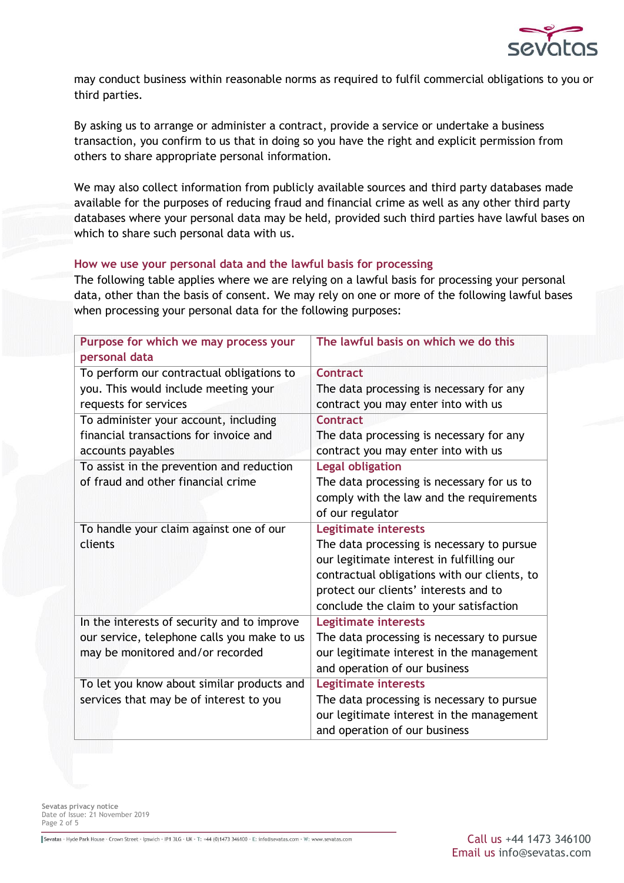

may conduct business within reasonable norms as required to fulfil commercial obligations to you or third parties.

By asking us to arrange or administer a contract, provide a service or undertake a business transaction, you confirm to us that in doing so you have the right and explicit permission from others to share appropriate personal information.

We may also collect information from publicly available sources and third party databases made available for the purposes of reducing fraud and financial crime as well as any other third party databases where your personal data may be held, provided such third parties have lawful bases on which to share such personal data with us.

# **How we use your personal data and the lawful basis for processing**

The following table applies where we are relying on a lawful basis for processing your personal data, other than the basis of consent. We may rely on one or more of the following lawful bases when processing your personal data for the following purposes:

| Purpose for which we may process your       | The lawful basis on which we do this         |
|---------------------------------------------|----------------------------------------------|
| personal data                               |                                              |
| To perform our contractual obligations to   | <b>Contract</b>                              |
| you. This would include meeting your        | The data processing is necessary for any     |
| requests for services                       | contract you may enter into with us          |
| To administer your account, including       | <b>Contract</b>                              |
| financial transactions for invoice and      | The data processing is necessary for any     |
| accounts payables                           | contract you may enter into with us          |
| To assist in the prevention and reduction   | <b>Legal obligation</b>                      |
| of fraud and other financial crime          | The data processing is necessary for us to   |
|                                             | comply with the law and the requirements     |
|                                             | of our regulator                             |
| To handle your claim against one of our     | <b>Legitimate interests</b>                  |
| clients                                     | The data processing is necessary to pursue   |
|                                             | our legitimate interest in fulfilling our    |
|                                             | contractual obligations with our clients, to |
|                                             | protect our clients' interests and to        |
|                                             | conclude the claim to your satisfaction      |
| In the interests of security and to improve | <b>Legitimate interests</b>                  |
| our service, telephone calls you make to us | The data processing is necessary to pursue   |
| may be monitored and/or recorded            | our legitimate interest in the management    |
|                                             | and operation of our business                |
| To let you know about similar products and  | <b>Legitimate interests</b>                  |
| services that may be of interest to you     | The data processing is necessary to pursue   |
|                                             | our legitimate interest in the management    |
|                                             | and operation of our business                |

**Sevatas privacy notice** Date of Issue: 21 November 2019 Page 2 of 5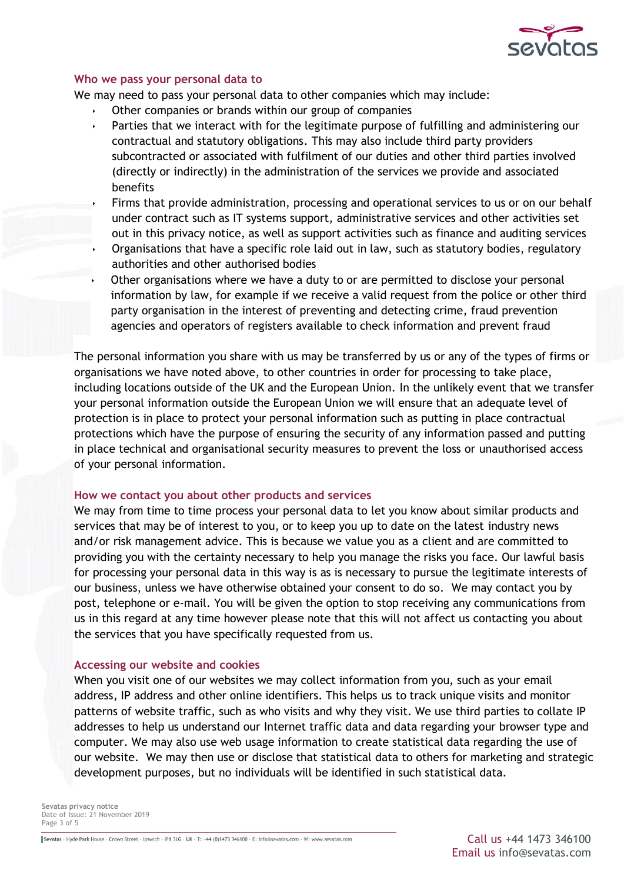

### **Who we pass your personal data to**

We may need to pass your personal data to other companies which may include:

- Other companies or brands within our group of companies
- Parties that we interact with for the legitimate purpose of fulfilling and administering our contractual and statutory obligations. This may also include third party providers subcontracted or associated with fulfilment of our duties and other third parties involved (directly or indirectly) in the administration of the services we provide and associated benefits
- Firms that provide administration, processing and operational services to us or on our behalf under contract such as IT systems support, administrative services and other activities set out in this privacy notice, as well as support activities such as finance and auditing services
- Organisations that have a specific role laid out in law, such as statutory bodies, regulatory authorities and other authorised bodies
- Other organisations where we have a duty to or are permitted to disclose your personal information by law, for example if we receive a valid request from the police or other third party organisation in the interest of preventing and detecting crime, fraud prevention agencies and operators of registers available to check information and prevent fraud

The personal information you share with us may be transferred by us or any of the types of firms or organisations we have noted above, to other countries in order for processing to take place, including locations outside of the UK and the European Union. In the unlikely event that we transfer your personal information outside the European Union we will ensure that an adequate level of protection is in place to protect your personal information such as putting in place contractual protections which have the purpose of ensuring the security of any information passed and putting in place technical and organisational security measures to prevent the loss or unauthorised access of your personal information.

#### **How we contact you about other products and services**

We may from time to time process your personal data to let you know about similar products and services that may be of interest to you, or to keep you up to date on the latest industry news and/or risk management advice. This is because we value you as a client and are committed to providing you with the certainty necessary to help you manage the risks you face. Our lawful basis for processing your personal data in this way is as is necessary to pursue the legitimate interests of our business, unless we have otherwise obtained your consent to do so. We may contact you by post, telephone or e-mail. You will be given the option to stop receiving any communications from us in this regard at any time however please note that this will not affect us contacting you about the services that you have specifically requested from us.

#### **Accessing our website and cookies**

When you visit one of our websites we may collect information from you, such as your email address, IP address and other online identifiers. This helps us to track unique visits and monitor patterns of website traffic, such as who visits and why they visit. We use third parties to collate IP addresses to help us understand our Internet traffic data and data regarding your browser type and computer. We may also use web usage information to create statistical data regarding the use of our website. We may then use or disclose that statistical data to others for marketing and strategic development purposes, but no individuals will be identified in such statistical data.

**Sevatas privacy notice** Date of Issue: 21 November 2019 Page 3 of 5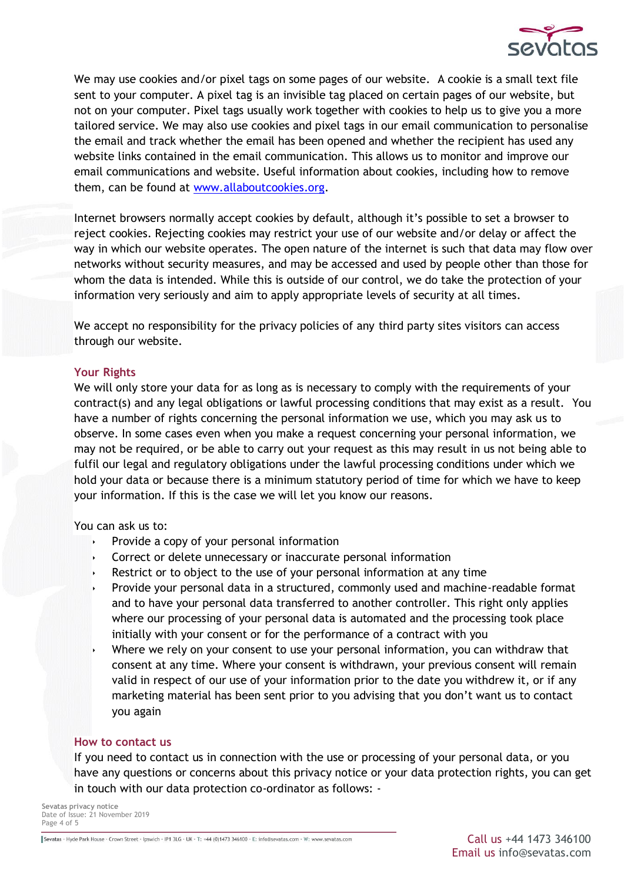

We may use cookies and/or pixel tags on some pages of our website. A cookie is a small text file sent to your computer. A pixel tag is an invisible tag placed on certain pages of our website, but not on your computer. Pixel tags usually work together with cookies to help us to give you a more tailored service. We may also use cookies and pixel tags in our email communication to personalise the email and track whether the email has been opened and whether the recipient has used any website links contained in the email communication. This allows us to monitor and improve our email communications and website. Useful information about cookies, including how to remove them, can be found at [www.allaboutcookies.org.](http://www.allaboutcookies.org/)

Internet browsers normally accept cookies by default, although it's possible to set a browser to reject cookies. Rejecting cookies may restrict your use of our website and/or delay or affect the way in which our website operates. The open nature of the internet is such that data may flow over networks without security measures, and may be accessed and used by people other than those for whom the data is intended. While this is outside of our control, we do take the protection of your information very seriously and aim to apply appropriate levels of security at all times.

We accept no responsibility for the privacy policies of any third party sites visitors can access through our website.

## **Your Rights**

We will only store your data for as long as is necessary to comply with the requirements of your contract(s) and any legal obligations or lawful processing conditions that may exist as a result. You have a number of rights concerning the personal information we use, which you may ask us to observe. In some cases even when you make a request concerning your personal information, we may not be required, or be able to carry out your request as this may result in us not being able to fulfil our legal and regulatory obligations under the lawful processing conditions under which we hold your data or because there is a minimum statutory period of time for which we have to keep your information. If this is the case we will let you know our reasons.

## You can ask us to:

- Provide a copy of your personal information
- Correct or delete unnecessary or inaccurate personal information
- Restrict or to object to the use of your personal information at any time
- Provide your personal data in a structured, commonly used and machine-readable format and to have your personal data transferred to another controller. This right only applies where our processing of your personal data is automated and the processing took place initially with your consent or for the performance of a contract with you
- Where we rely on your consent to use your personal information, you can withdraw that consent at any time. Where your consent is withdrawn, your previous consent will remain valid in respect of our use of your information prior to the date you withdrew it, or if any marketing material has been sent prior to you advising that you don't want us to contact you again

## **How to contact us**

If you need to contact us in connection with the use or processing of your personal data, or you have any questions or concerns about this privacy notice or your data protection rights, you can get in touch with our data protection co-ordinator as follows: -

**Sevatas privacy notice** Date of Issue: 21 November 2019 Page 4 of 5